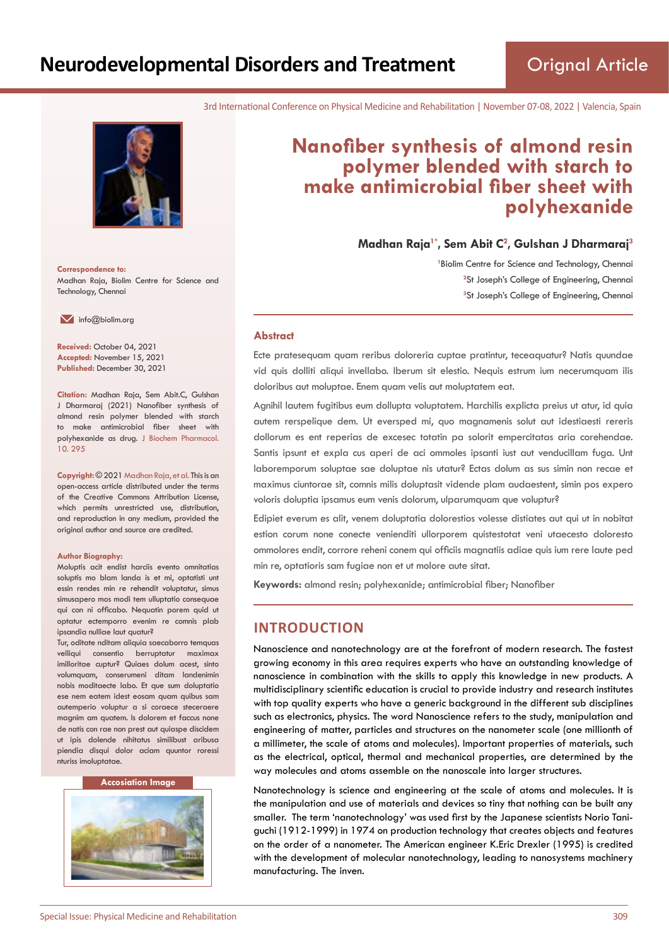3rd International Conference on Physical Medicine and Rehabilitation | November 07-08, 2022 | Valencia, Spain



**Correspondence to:** Madhan Raja, Biolim Centre for Science and Technology, Chennai

 $\blacksquare$  info@biolim.org

**Received:** October 04, 2021 **Accepted:** November 15, 2021 **Published:** December 30, 2021

**Citation:** Madhan Raja, Sem Abit.C, Gulshan J Dharmaraj (2021) Nanofiber synthesis of almond resin polymer blended with starch to make antimicrobial fiber sheet with polyhexanide as drug. J Biochem Pharmacol. 10. 295

**Copyright:** © 2021 Madhan Raja, et al. This is an open-access article distributed under the terms of the Creative Commons Attribution License, which permits unrestricted use, distribution, and reproduction in any medium, provided the original author and source are credited.

#### **Author Biography:**

Moluptis acit endist harciis evento omnitatias soluptis mo blam landa is et mi, optatisti unt essin rendes min re rehendit voluptatur, simus simusapero mos modi tem ulluptatio consequae qui con ni officabo. Nequatin porem quid ut optatur ectemporro evenim re comnis plab ipsandia nulliae laut quatur?

Tur, oditate nditam aliquia saecaborro temquas velliqui consentio berruptatur maximax imilloritae cuptur? Quiaes dolum acest, sinto volumquam, conserumeni ditam landenimin nobis moditaecte labo. Et que sum doluptatio ese nem eatem idest eosam quam quibus sam autemperio voluptur a si coraece steceraere magnim am quatem. Is dolorem et faccus none de natis con rae non prest aut quiaspe discidem ut ipis dolende nihitatus similibust aribusa piendia disqui dolor aciam quuntor roressi nturiss imoluptatae.

#### **Accosiation Image**



# **Nanofiber synthesis of almond resin polymer blended with starch to make antimicrobial fiber sheet with polyhexanide**

**Madhan Raja1\*, Sem Abit C<sup>2</sup> , Gulshan J Dharmaraj<sup>3</sup>**

<sup>1</sup> Biolim Centre for Science and Technology, Chennai <sup>2</sup>St Joseph's College of Engineering, Chennai **3** St Joseph's College of Engineering, Chennai

#### **Abstract**

Ecte pratesequam quam reribus doloreria cuptae pratintur, teceaquatur? Natis quundae vid quis dolliti aliqui invellabo. Iberum sit elestio. Nequis estrum ium necerumquam ilis doloribus aut moluptae. Enem quam velis aut moluptatem eat.

Agnihil lautem fugitibus eum dollupta voluptatem. Harchilis explicta preius ut atur, id quia autem rerspelique dem. Ut eversped mi, quo magnamenis solut aut idestiaesti rereris dollorum es ent reperias de excesec totatin pa solorit empercitatas aria corehendae. Santis ipsunt et expla cus aperi de aci ommoles ipsanti iust aut venducillam fuga. Unt laboremporum soluptae sae doluptae nis utatur? Ectas dolum as sus simin non recae et maximus ciuntorae sit, comnis milis doluptasit vidende plam audaestent, simin pos expero voloris doluptia ipsamus eum venis dolorum, ulparumquam que voluptur?

Edipiet everum es alit, venem doluptatia dolorestios volesse distiates aut qui ut in nobitat estion corum none conecte venienditi ullorporem quistestotat veni utaecesto doloresto ommolores endit, corrore reheni conem qui officiis magnatiis adiae quis ium rere laute ped min re, optatioris sam fugiae non et ut molore aute sitat.

**Keywords:** almond resin; polyhexanide; antimicrobial fiber; Nanofiber

# **INTRODUCTION**

Nanoscience and nanotechnology are at the forefront of modern research. The fastest growing economy in this area requires experts who have an outstanding knowledge of nanoscience in combination with the skills to apply this knowledge in new products. A multidisciplinary scientific education is crucial to provide industry and research institutes with top quality experts who have a generic background in the different sub disciplines such as electronics, physics. The word Nanoscience refers to the study, manipulation and engineering of matter, particles and structures on the nanometer scale (one millionth of a millimeter, the scale of atoms and molecules). Important properties of materials, such as the electrical, optical, thermal and mechanical properties, are determined by the way molecules and atoms assemble on the nanoscale into larger structures.

Nanotechnology is science and engineering at the scale of atoms and molecules. It is the manipulation and use of materials and devices so tiny that nothing can be built any smaller. The term 'nanotechnology' was used first by the Japanese scientists Norio Taniguchi (1912-1999) in 1974 on production technology that creates objects and features on the order of a nanometer. The American engineer K.Eric Drexler (1995) is credited with the development of molecular nanotechnology, leading to nanosystems machinery manufacturing. The inven.